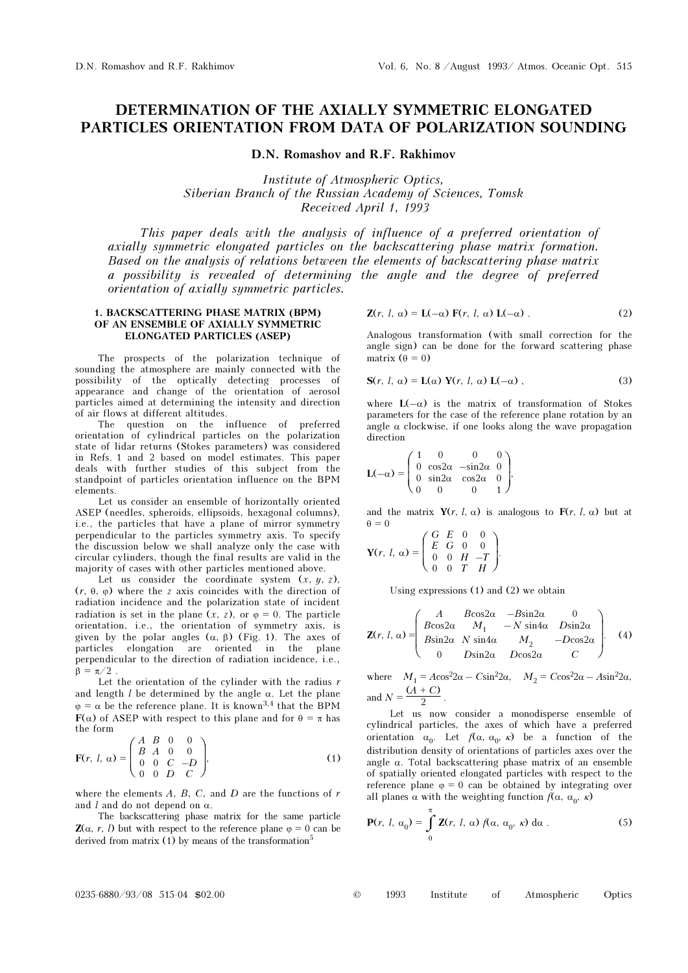# DETERMINATION OF THE AXIALLY SYMMETRIC ELONGATED PARTICLES ORIENTATION FROM DATA OF POLARIZATION SOUNDING

D.N. Romashov and R.F. Rakhimov

Institute of Atmospheric Optics, Siberian Branch of the Russian Academy of Sciences, Tomsk Received April 1, 1993

This paper deals with the analysis of influence of a preferred orientation of axially symmetric elongated particles on the backscattering phase matrix formation. Based on the analysis of relations between the elements of backscattering phase matrix a possibility is revealed of determining the angle and the degree of preferred orientation of axially symmetric particles.

#### 1. BACKSCATTERING PHASE MATRIX (BPM) OF AN ENSEMBLE OF AXIALLY SYMMETRIC ELONGATED PARTICLES (ASEP)

The prospects of the polarization technique of sounding the atmosphere are mainly connected with the possibility of the optically detecting processes of appearance and change of the orientation of aerosol particles aimed at determining the intensity and direction of air flows at different altitudes.

The question on the influence of preferred orientation of cylindrical particles on the polarization state of lidar returns (Stokes parameters) was considered in Refs. 1 and 2 based on model estimates. This paper deals with further studies of this subject from the standpoint of particles orientation influence on the BPM elements.

Let us consider an ensemble of horizontally oriented ASEP (needles, spheroids, ellipsoids, hexagonal columns), i.e., the particles that have a plane of mirror symmetry perpendicular to the particles symmetry axis. To specify the discussion below we shall analyze only the case with circular cylinders, though the final results are valid in the majority of cases with other particles mentioned above.

Let us consider the coordinate system  $(x, y, z)$ , (r, θ, ϕ) where the z axis coincides with the direction of radiation incidence and the polarization state of incident radiation is set in the plane  $(x, z)$ , or  $\varphi = 0$ . The particle orientation, i.e., the orientation of symmetry axis, is given by the polar angles  $(α, β)$  (Fig. 1). The axes of particles elongation are oriented in the plane perpendicular to the direction of radiation incidence, i.e.,  $\beta = \pi/2$ .

Let the orientation of the cylinder with the radius  $r$ and length  $l$  be determined by the angle  $\alpha$ . Let the plane  $\varphi = \alpha$  be the reference plane. It is known<sup>3,4</sup> that the BPM  $F(\alpha)$  of ASEP with respect to this plane and for  $\theta = \pi$  has the form

$$
\mathbf{F}(r, l, \alpha) = \begin{pmatrix} A & B & 0 & 0 \\ B & A & 0 & 0 \\ 0 & 0 & C & -D \\ 0 & 0 & D & C \end{pmatrix},
$$
 (1)

where the elements  $A$ ,  $B$ ,  $C$ , and  $D$  are the functions of  $r$ and l and do not depend on  $\alpha$ .

The backscattering phase matrix for the same particle  $\mathbf{Z}(\alpha, r, l)$  but with respect to the reference plane  $\varphi = 0$  can be derived from matrix  $(1)$  by means of the transformation<sup>5</sup>

$$
\mathbf{Z}(r, l, \alpha) = \mathbf{L}(-\alpha) \mathbf{F}(r, l, \alpha) \mathbf{L}(-\alpha) \tag{2}
$$

Analogous transformation (with small correction for the angle sign) can be done for the forward scattering phase matrix  $(\theta = 0)$ 

$$
\mathbf{S}(r, l, \alpha) = \mathbf{L}(\alpha) \mathbf{Y}(r, l, \alpha) \mathbf{L}(-\alpha) , \qquad (3)
$$

where  $L(-\alpha)$  is the matrix of transformation of Stokes parameters for the case of the reference plane rotation by an angle  $\alpha$  clockwise, if one looks along the wave propagation direction

$$
\mathbf{L}(-\alpha) = \begin{pmatrix} 1 & 0 & 0 & 0 \\ 0 & \cos 2\alpha & -\sin 2\alpha & 0 \\ 0 & \sin 2\alpha & \cos 2\alpha & 0 \\ 0 & 0 & 0 & 1 \end{pmatrix},
$$

and the matrix  $Y(r, l, \alpha)$  is analogous to  $F(r, l, \alpha)$  but at  $\theta = 0$ 

$$
\mathbf{Y}(r, l, \alpha) = \begin{pmatrix} G & E & 0 & 0 \\ E & G & 0 & 0 \\ 0 & 0 & H & -T \\ 0 & 0 & T & H \end{pmatrix}.
$$

Using expressions (1) and (2) we obtain

$$
\mathbf{Z}(r, l, \alpha) = \begin{pmatrix} A & B\cos 2\alpha & -B\sin 2\alpha & 0 \\ B\cos 2\alpha & M_1 & -N\sin 4\alpha & D\sin 2\alpha \\ B\sin 2\alpha & N\sin 4\alpha & M_2 & -D\cos 2\alpha \\ 0 & D\sin 2\alpha & D\cos 2\alpha & C \end{pmatrix}.
$$
 (4)

where  $M_1 = A\cos^2 2\alpha - C\sin^2 2\alpha$ ,  $M_2 = C\cos^2 2\alpha - A\sin^2 2\alpha$ , and  $N = \frac{(A + C)}{2}$ .

Let us now consider a monodisperse ensemble of cylindrical particles, the axes of which have a preferred orientation  $\alpha_0$ . Let  $f(\alpha, \alpha_0, \kappa)$  be a function of the distribution density of orientations of particles axes over the angle  $\alpha$ . Total backscattering phase matrix of an ensemble of spatially oriented elongated particles with respect to the reference plane  $\varphi = 0$  can be obtained by integrating over all planes  $\alpha$  with the weighting function  $f(\alpha, \alpha_0, \kappa)$ 

$$
\mathbf{P}(r, l, \alpha_0) = \int_{0}^{\pi} \mathbf{Z}(r, l, \alpha) f(\alpha, \alpha_0, \kappa) d\alpha.
$$
 (5)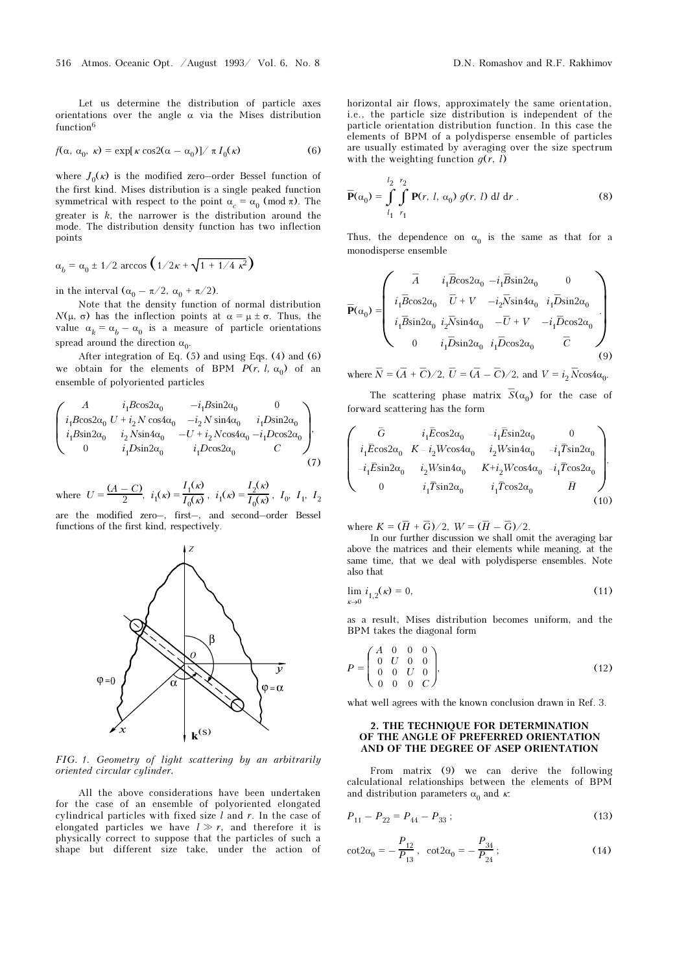Let us determine the distribution of particle axes orientations over the angle  $\alpha$  via the Mises distribution function<sup>6</sup>

$$
f(\alpha, \alpha_0, \kappa) = \exp[\kappa \cos(2(\alpha - \alpha_0))/\pi I_0(\kappa)] \tag{6}
$$

where  $J_0(\kappa)$  is the modified zero–order Bessel function of the first kind. Mises distribution is a single peaked function symmetrical with respect to the point  $\alpha_c = \alpha_0 \pmod{\pi}$ . The greater is  $k$ , the narrower is the distribution around the mode. The distribution density function has two inflection points

$$
\alpha_b = \alpha_0 \pm 1/2 \arccos\left(\frac{1}{2\kappa} + \sqrt{1 + \frac{1}{4 \kappa^2}}\right)
$$

in the interval  $(\alpha_0 - \pi/2, \alpha_0 + \pi/2)$ .

Note that the density function of normal distribution  $N(\mu, \sigma)$  has the inflection points at  $\alpha = \mu \pm \sigma$ . Thus, the value  $\alpha_k = \alpha_b - \alpha_0$  is a measure of particle orientations spread around the direction  $\alpha_0$ .

After integration of Eq. (5) and using Eqs. (4) and (6) we obtain for the elements of BPM  $P(r, l, \alpha_0)$  of an ensemble of polyoriented particles

$$
\begin{pmatrix} A & i_{1}B\cos 2\alpha_{0} & -i_{1}B\sin 2\alpha_{0} & 0 \\ i_{1}B\cos 2\alpha_{0} & U + i_{2}N\cos 4\alpha_{0} & -i_{2}N\sin 4\alpha_{0} & i_{1}D\sin 2\alpha_{0} \\ i_{1}B\sin 2\alpha_{0} & i_{2}N\sin 4\alpha_{0} & -U + i_{2}N\cos 4\alpha_{0} & -i_{1}D\cos 2\alpha_{0} \\ 0 & i_{1}D\sin 2\alpha_{0} & i_{1}D\cos 2\alpha_{0} & C \end{pmatrix},
$$
\n(7)

where  $U = \frac{(A - C)}{2}$ ,  $i_1(\kappa) = \frac{I_1(\kappa)}{I_0(\kappa)}$  $\frac{1}{I_0(\kappa)}$ ,  $i_1(\kappa) =$  $I_2(\kappa)$  $\frac{1}{I_0(\kappa)}$ ,  $I_0$ ,  $I_1$ ,  $I_2$ 

are the modified zero–, first–, and second–order Bessel functions of the first kind, respectively.



FIG. 1. Geometry of light scattering by an arbitrarily oriented circular cylinder.

All the above considerations have been undertaken for the case of an ensemble of polyoriented elongated cylindrical particles with fixed size  $l$  and  $r$ . In the case of elongated particles we have  $l \gg r$ , and therefore it is physically correct to suppose that the particles of such a shape but different size take, under the action of

horizontal air flows, approximately the same orientation, i.e., the particle size distribution is independent of the particle orientation distribution function. In this case the elements of BPM of a polydisperse ensemble of particles are usually estimated by averaging over the size spectrum with the weighting function  $q(r, l)$ 

$$
\overline{\mathbf{P}}(\alpha_0) = \int_{l_1}^{l_2} \int_{r_1}^{r_2} \mathbf{P}(r, l, \alpha_0) g(r, l) \, \mathrm{d}l \, \mathrm{d}r \,. \tag{8}
$$

Thus, the dependence on  $\alpha_0$  is the same as that for a monodisperse ensemble

$$
\overline{\mathbf{P}}(\alpha_0) = \begin{pmatrix}\n\overline{A} & i_1 \overline{B} \cos 2\alpha_0 & -i_1 \overline{B} \sin 2\alpha_0 & 0 \\
i_1 \overline{B} \cos 2\alpha_0 & \overline{U} + V & -i_2 \overline{N} \sin 4\alpha_0 & i_1 \overline{D} \sin 2\alpha_0 \\
i_1 \overline{B} \sin 2\alpha_0 & i_2 \overline{N} \sin 4\alpha_0 & -\overline{U} + V & -i_1 \overline{D} \cos 2\alpha_0 \\
0 & i_1 \overline{D} \sin 2\alpha_0 & i_1 \overline{D} \cos 2\alpha_0 & \overline{C}\n\end{pmatrix}
$$
\n(9)

where  $\overline{N} = (\overline{A} + \overline{C})/2$ ,  $\overline{U} = (\overline{A} - \overline{C})/2$ , and  $V = i_2 \overline{N} \cos 4\alpha_0$ .

The scattering phase matrix  $\overline{S}(\alpha_0)$  for the case of<br>
and scattering has the form<br>  $\overline{G}$   $i_1 \overline{E} \cos 2\alpha_0$   $-i_1 \overline{E} \sin 2\alpha_0$  0 forward scattering has the form –

The scattering phase matrix 
$$
S(\alpha_0)
$$
 for the case of  
forward scattering has the form  

$$
\overline{G} = i_1 \overline{E} \cos 2\alpha_0 - i_1 \overline{E} \sin 2\alpha_0 - 0
$$

$$
i_1 \overline{E} \cos 2\alpha_0 - K - i_2 W \cos 4\alpha_0 - i_2 W \sin 4\alpha_0 - i_1 \overline{T} \sin 2\alpha_0
$$

$$
-i_1 \overline{E} \sin 2\alpha_0 - i_2 W \sin 4\alpha_0 - K + i_2 W \cos 4\alpha_0 - i_1 \overline{T} \cos 2\alpha_0
$$

$$
0 - i_1 \overline{T} \sin 2\alpha_0 - i_1 \overline{T} \cos 2\alpha_0 - \overline{H}
$$
(10)

where  $K = (\overline{H} + \overline{G})/2$ ,  $W = (\overline{H} - \overline{G})/2$ .

In our further discussion we shall omit the averaging bar above the matrices and their elements while meaning, at the same time, that we deal with polydisperse ensembles. Note also that

$$
\lim_{\kappa \to 0} i_{1,2}(\kappa) = 0,\tag{11}
$$

as a result, Mises distribution becomes uniform, and the BPM takes the diagonal form

$$
P = \begin{pmatrix} A & 0 & 0 & 0 \\ 0 & U & 0 & 0 \\ 0 & 0 & U & 0 \\ 0 & 0 & 0 & C \end{pmatrix},
$$
 (12)

what well agrees with the known conclusion drawn in Ref. 3.

#### 2. THE TECHNIQUE FOR DETERMINATION OF THE ANGLE OF PREFERRED ORIENTATION AND OF THE DEGREE OF ASEP ORIENTATION

From matrix (9) we can derive the following calculational relationships between the elements of BPM and distribution parameters  $\alpha_0$  and  $\kappa$ .

$$
P_{11} - P_{22} = P_{44} - P_{33} ; \t\t(13)
$$

$$
\cot 2\alpha_0 = -\frac{P_{12}}{P_{13}}, \quad \cot 2\alpha_0 = -\frac{P_{34}}{P_{24}};
$$
 (14)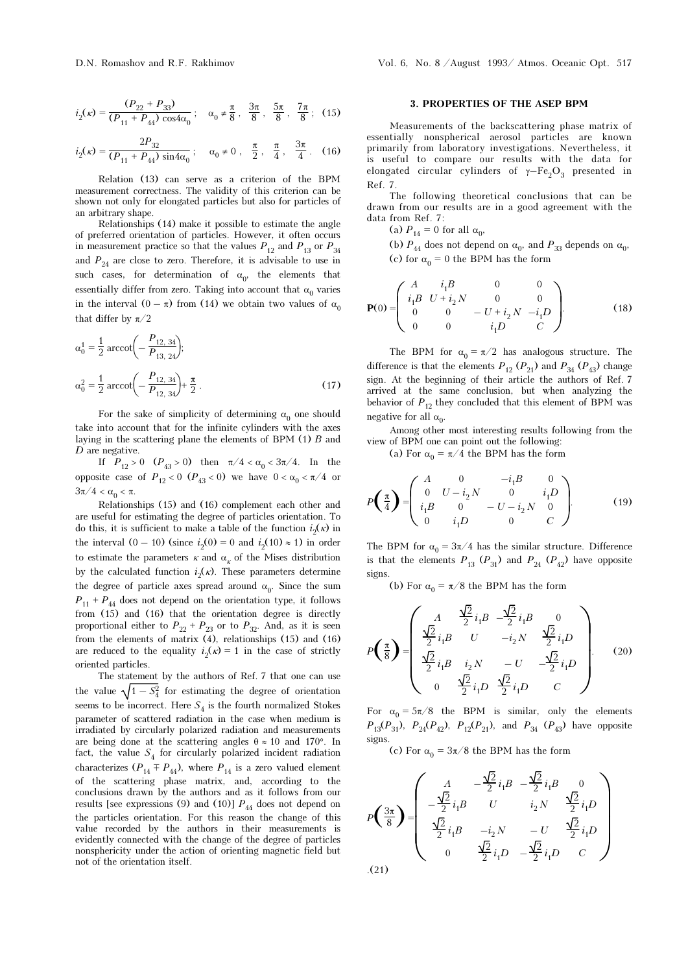$$
i_2(\kappa) = \frac{(P_{22} + P_{33})}{(P_{11} + P_{44}) \cos 4\alpha_0}; \quad \alpha_0 \neq \frac{\pi}{8}, \frac{3\pi}{8}, \frac{5\pi}{8}, \frac{7\pi}{8}; \tag{15}
$$

$$
i_2(\kappa) = \frac{2P_{32}}{(P_{11} + P_{44}) \sin 4\alpha_0}; \quad \alpha_0 \neq 0, \frac{\pi}{2}, \frac{\pi}{4}, \frac{3\pi}{4}. \quad (16)
$$

Relation (13) can serve as a criterion of the BPM measurement correctness. The validity of this criterion can be shown not only for elongated particles but also for particles of an arbitrary shape.

Relationships (14) make it possible to estimate the angle of preferred orientation of particles. However, it often occurs in measurement practice so that the values  $P_{12}$  and  $P_{13}$  or  $P_{34}$ and  $P_{24}$  are close to zero. Therefore, it is advisable to use in such cases, for determination of  $\alpha_0$ , the elements that essentially differ from zero. Taking into account that  $\alpha_0$  varies in the interval  $(0 - \pi)$  from (14) we obtain two values of  $\alpha_0$ that differ by  $\pi/2$ 

$$
\alpha_0^1 = \frac{1}{2} \arccot \left( -\frac{P_{12,34}}{P_{13,24}} \right);
$$
  

$$
\alpha_0^2 = \frac{1}{2} \arccot \left( -\frac{P_{12,34}}{P_{12,34}} \right) + \frac{\pi}{2} .
$$
 (17)

For the sake of simplicity of determining  $\alpha_0$  one should take into account that for the infinite cylinders with the axes laying in the scattering plane the elements of BPM (1) B and  $D$  are negative.

If  $P_{12} > 0$   $(P_{43} > 0)$  then  $\pi/4 < \alpha_0 < 3\pi/4$ . In the opposite case of  $P_{12} < 0$  ( $P_{43} < 0$ ) we have  $0 < \alpha_0 < \pi/4$  or  $3\pi/4 < \alpha_0 < \pi$ .

Relationships (15) and (16) complement each other and are useful for estimating the degree of particles orientation. To do this, it is sufficient to make a table of the function  $i_2(\kappa)$  in the interval  $(0 - 10)$  (since  $i_2(0) = 0$  and  $i_2(10) \approx 1$ ) in order to estimate the parameters  $\kappa$  and  $\alpha_{\kappa}$  of the Mises distribution by the calculated function  $i_2(\kappa)$ . These parameters determine the degree of particle axes spread around  $\alpha_0$ . Since the sum  $P_{11} + P_{44}$  does not depend on the orientation type, it follows from (15) and (16) that the orientation degree is directly proportional either to  $P_{22} + P_{23}$  or to  $P_{32}$ . And, as it is seen from the elements of matrix (4), relationships (15) and (16) are reduced to the equality  $i_2(x) = 1$  in the case of strictly oriented particles.

The statement by the authors of Ref. 7 that one can use the value  $\sqrt{1 - S_4^2}$  for estimating the degree of orientation seems to be incorrect. Here  $S_4$  is the fourth normalized Stokes parameter of scattered radiation in the case when medium is irradiated by circularly polarized radiation and measurements are being done at the scattering angles  $\theta \approx 10$  and 170°. In fact, the value  $S<sub>4</sub>$  for circularly polarized incident radiation characterizes  $(P_{14} \mp P_{44})$ , where  $P_{14}$  is a zero valued element of the scattering phase matrix, and, according to the conclusions drawn by the authors and as it follows from our results [see expressions (9) and (10)]  $P_{44}$  does not depend on the particles orientation. For this reason the change of this value recorded by the authors in their measurements is evidently connected with the change of the degree of particles nonsphericity under the action of orienting magnetic field but not of the orientation itself.

### 3. PROPERTIES OF THE ASEP BPM

Measurements of the backscattering phase matrix of essentially nonspherical aerosol particles are known primarily from laboratory investigations. Nevertheless, it is useful to compare our results with the data for elongated circular cylinders of  $\gamma$ –Fe<sub>2</sub>O<sub>3</sub> presented in Ref. 7.

The following theoretical conclusions that can be drawn from our results are in a good agreement with the data from Ref. 7:

(a)  $P_{14} = 0$  for all  $\alpha_0$ ,

(b)  $P_{44}$  does not depend on  $\alpha_0$ , and  $P_{33}$  depends on  $\alpha_0$ , (c) for  $\alpha_0 = 0$  the BPM has the form

$$
\mathbf{P}(0) = \begin{pmatrix} A & i_1B & 0 & 0 \\ i_1B & U + i_2N & 0 & 0 \\ 0 & 0 & -U + i_2N & -i_1D \\ 0 & 0 & i_1D & C \end{pmatrix}.
$$
 (18)

The BPM for  $\alpha_0 = \pi/2$  has analogous structure. The difference is that the elements  $P_{12} (P_{21})$  and  $P_{34} (P_{43})$  change sign. At the beginning of their article the authors of Ref. 7 arrived at the same conclusion, but when analyzing the behavior of  $P_{12}$  they concluded that this element of BPM was negative for all  $\alpha_0$ .

Among other most interesting results following from the view of BPM one can point out the following:

(a) For  $\alpha_0 = \pi/4$  the BPM has the form

$$
P\left(\frac{\pi}{4}\right) = \begin{pmatrix} A & 0 & -i_1B & 0 \\ 0 & U - i_2N & 0 & i_1D \\ i_1B & 0 & -U - i_2N & 0 \\ 0 & i_1D & 0 & C \end{pmatrix}.
$$
 (19)

The BPM for  $\alpha_0 = 3\pi/4$  has the similar structure. Difference is that the elements  $P_{13}$  ( $P_{31}$ ) and  $P_{24}$  ( $P_{42}$ ) have opposite signs.

(b) For  $\alpha_0 = \pi/8$  the BPM has the form

$$
P\left(\frac{\pi}{8}\right) = \begin{pmatrix} A & \frac{\sqrt{2}}{2}i_1B & -\frac{\sqrt{2}}{2}i_1B & 0\\ \frac{\sqrt{2}}{2}i_1B & U & -i_2N & \frac{\sqrt{2}}{2}i_1D\\ \frac{\sqrt{2}}{2}i_1B & i_2N & -U & -\frac{\sqrt{2}}{2}i_1D\\ 0 & \frac{\sqrt{2}}{2}i_1D & \frac{\sqrt{2}}{2}i_1D & C \end{pmatrix}.
$$
 (20)

For  $\alpha_0 = 5\pi/8$  the BPM is similar, only the elements  $P_{13}(P_{31})$ ,  $P_{24}(P_{42})$ ,  $P_{12}(P_{21})$ , and  $P_{34}$   $(P_{43})$  have opposite signs.

(c) For  $\alpha_0 = 3\pi/8$  the BPM has the form

$$
P\left(\frac{3\pi}{8}\right) = \begin{pmatrix} A & -\frac{\sqrt{2}}{2}i_1B & -\frac{\sqrt{2}}{2}i_1B & 0\\ -\frac{\sqrt{2}}{2}i_1B & U & i_2N & \frac{\sqrt{2}}{2}i_1D\\ \frac{\sqrt{2}}{2}i_1B & -i_2N & -U & \frac{\sqrt{2}}{2}i_1D\\ 0 & \frac{\sqrt{2}}{2}i_1D & -\frac{\sqrt{2}}{2}i_1D & C \end{pmatrix}
$$
  
(21)